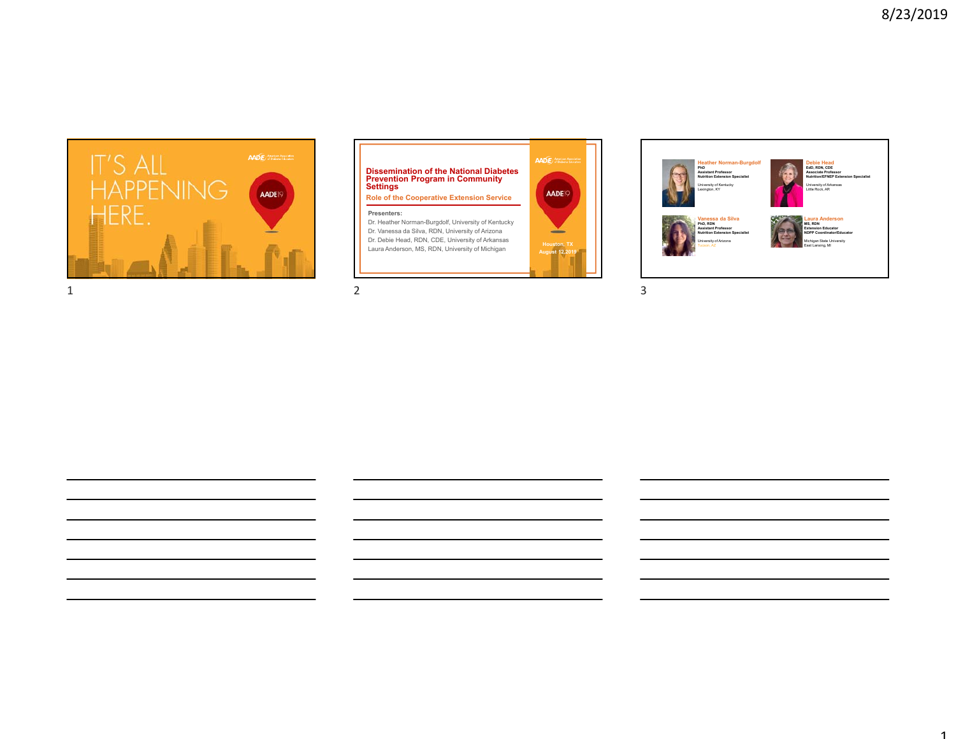1









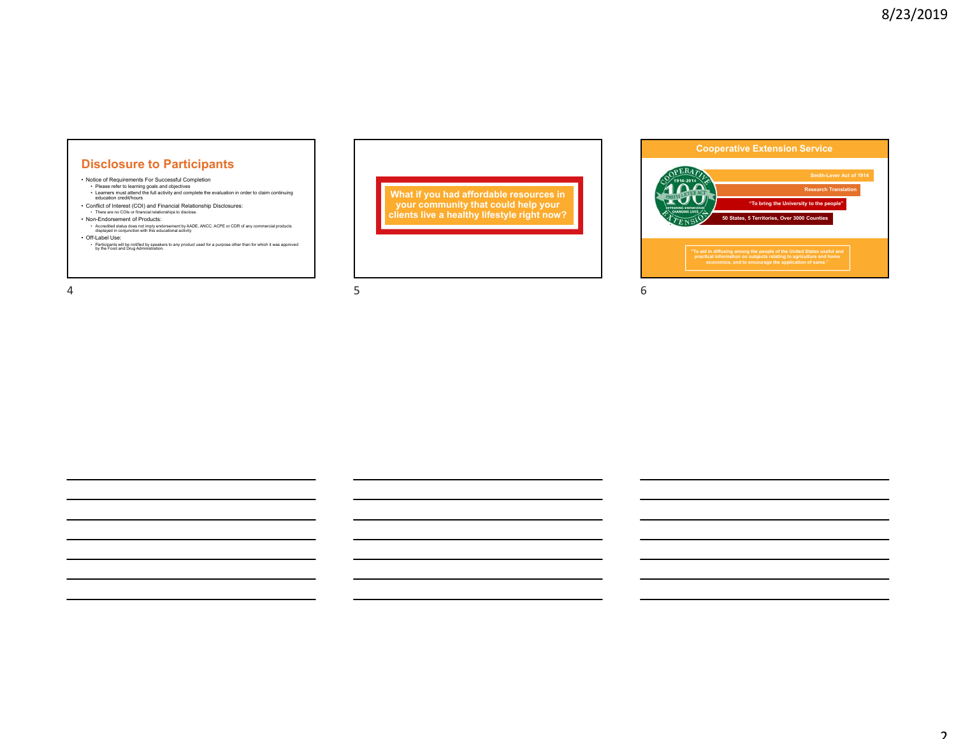## **Disclosure to Participants**

- Notice of Requirements For Successful Completion • Please refer to learning goals and objectives • Learners must attend the full activity and complete the evaluation in order to claim continuing education credit/hours
- Conflict of Interest (COI) and Financial Relationship Disclosures: There are no COIs or financial relationships to disclose.
- Non-Endorsement of Products: • Accredited status does not imply endorsement by AADE, ANCC, ACPE or CDR of any commercial products displayed in conjunction with this educational activity
- Off-Label Use: • Participants will be notified by speakers to any product used for a purpose other than for which it was approved by the Food and Drug Administration.

 $4$ 

**What if you had affordable resources in your community that could help your clients live a healthy lifestyle right now?** 

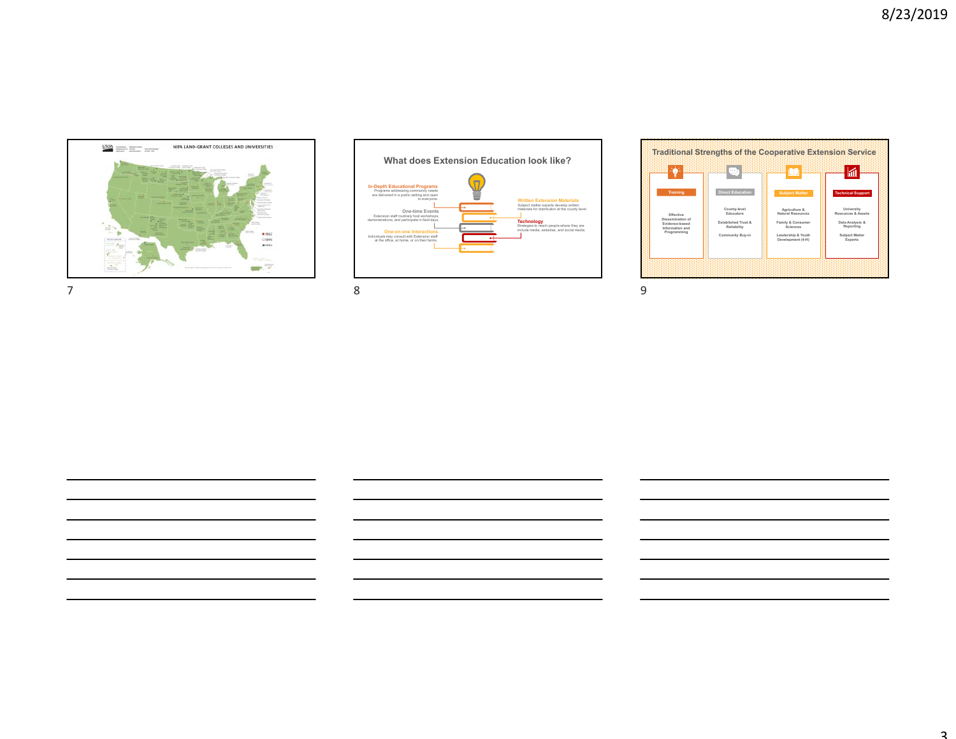



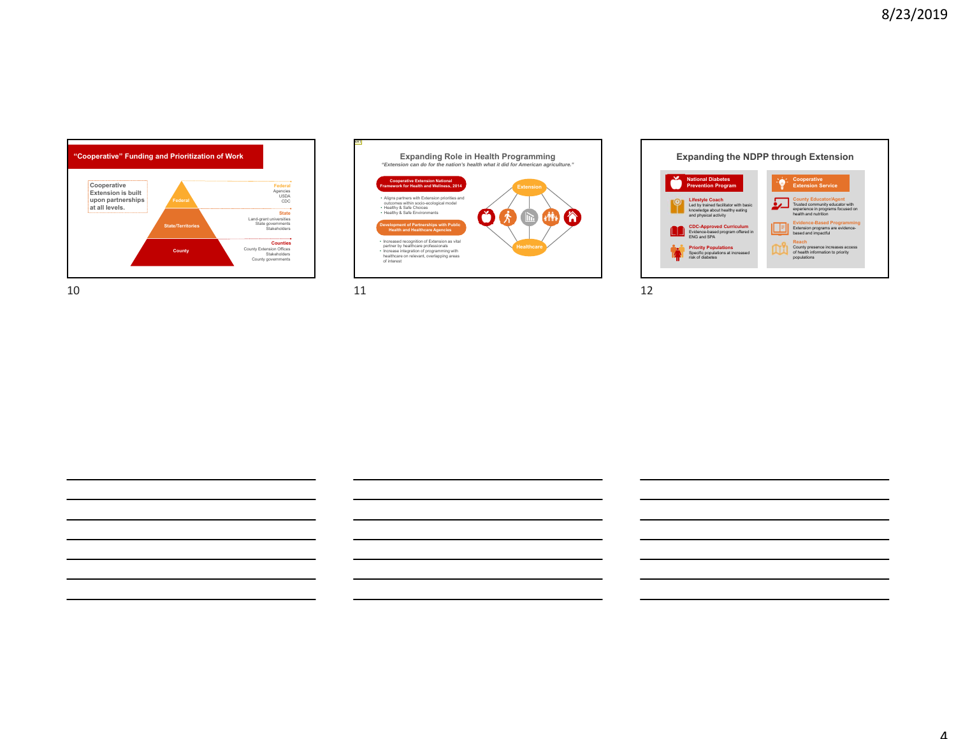$\Lambda$ 





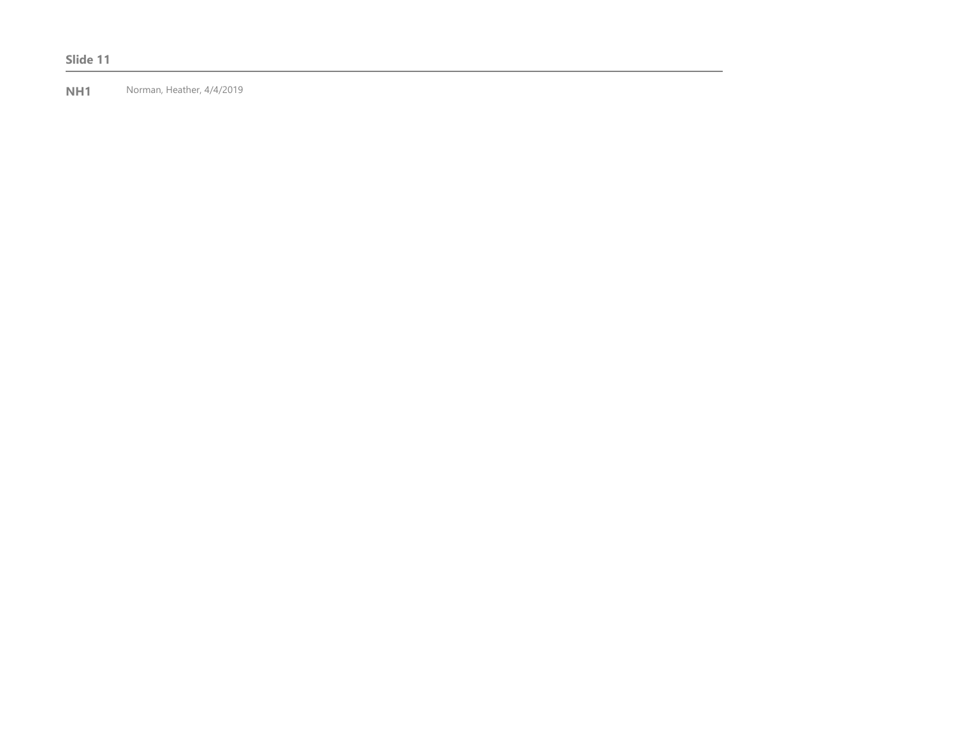**Slide 11**

**NH1** Norman, Heather, 4/4/2019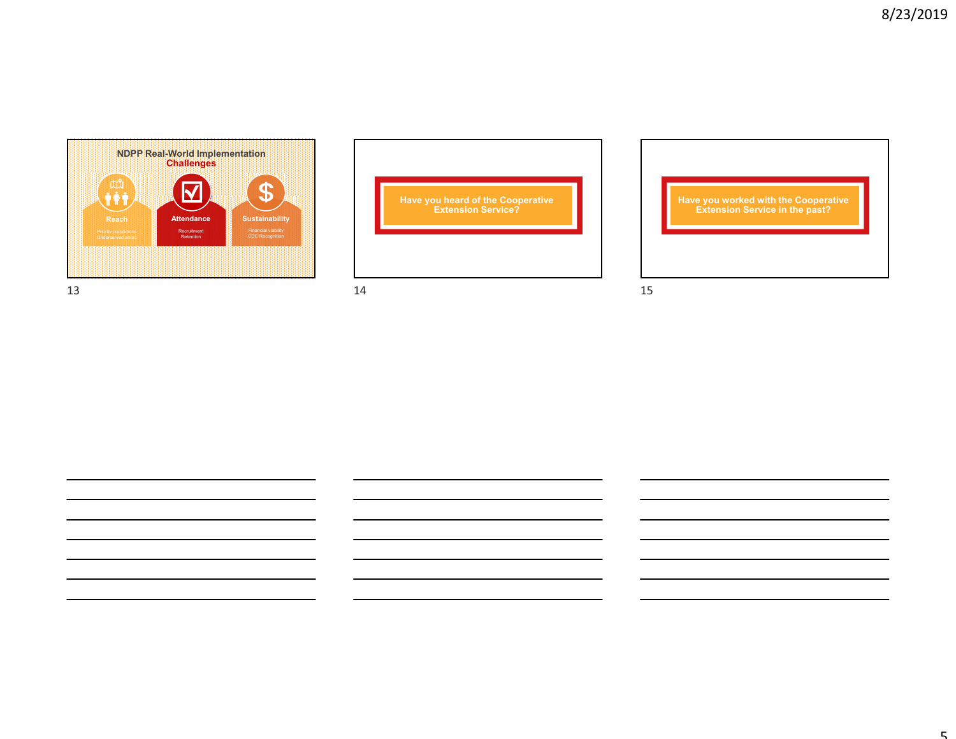

| Have you heard of the Cooperative<br><b>Extension Service?</b> |  |
|----------------------------------------------------------------|--|
|                                                                |  |

**Have you worked with the Cooperative Extension Service in the past?** 

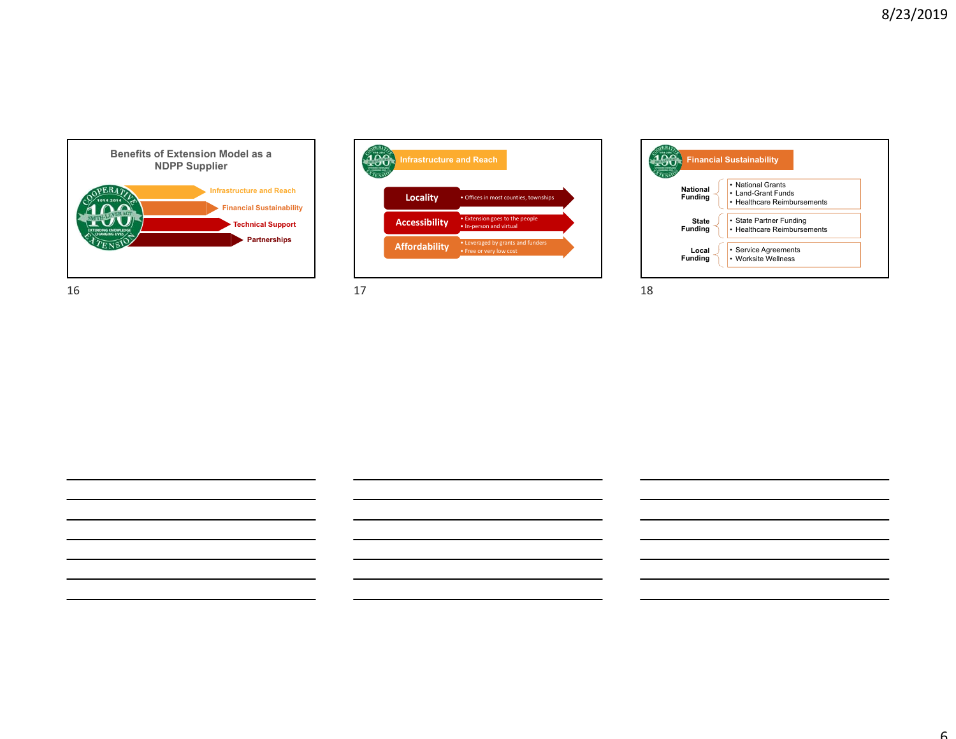



|                                   | <b>Financial Sustainability</b>                                        |
|-----------------------------------|------------------------------------------------------------------------|
| <b>National</b><br><b>Funding</b> | • National Grants<br>• Land-Grant Funds<br>• Healthcare Reimbursements |
| <b>State</b>                      | • State Partner Funding                                                |
| <b>Funding</b>                    | • Healthcare Reimbursements                                            |
| Local                             | • Service Agreements                                                   |
| <b>Funding</b>                    | • Worksite Wellness                                                    |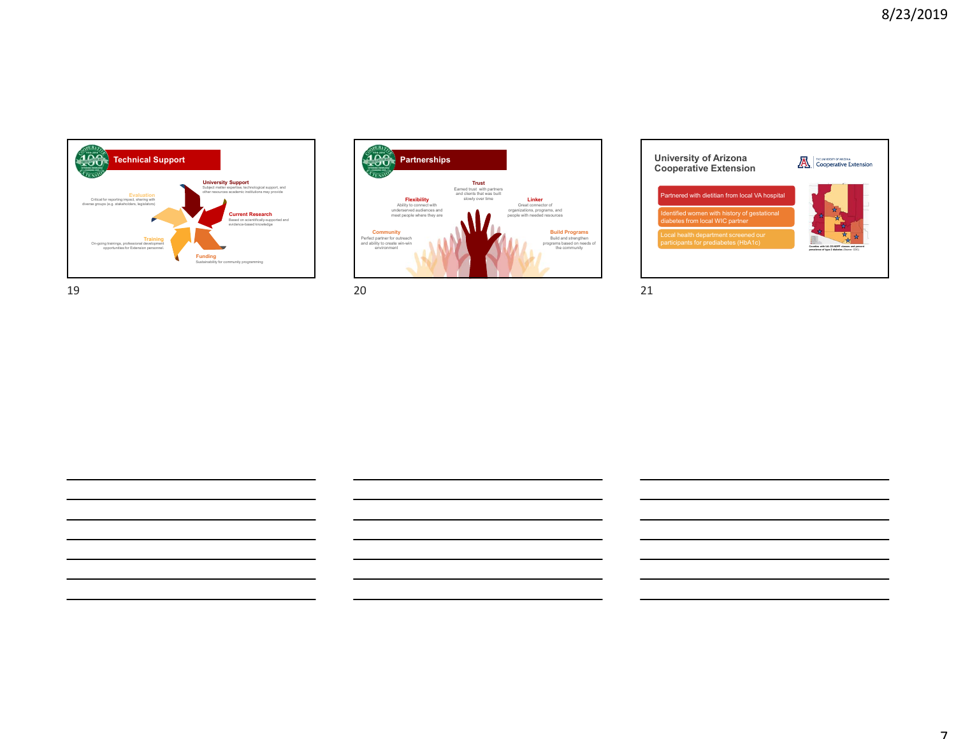





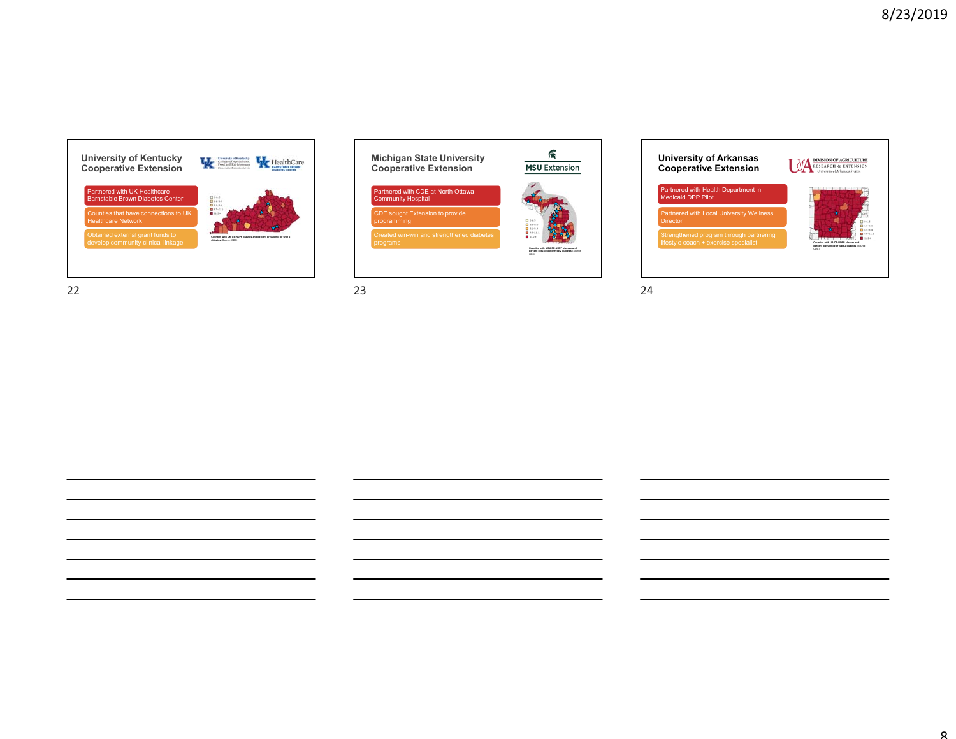